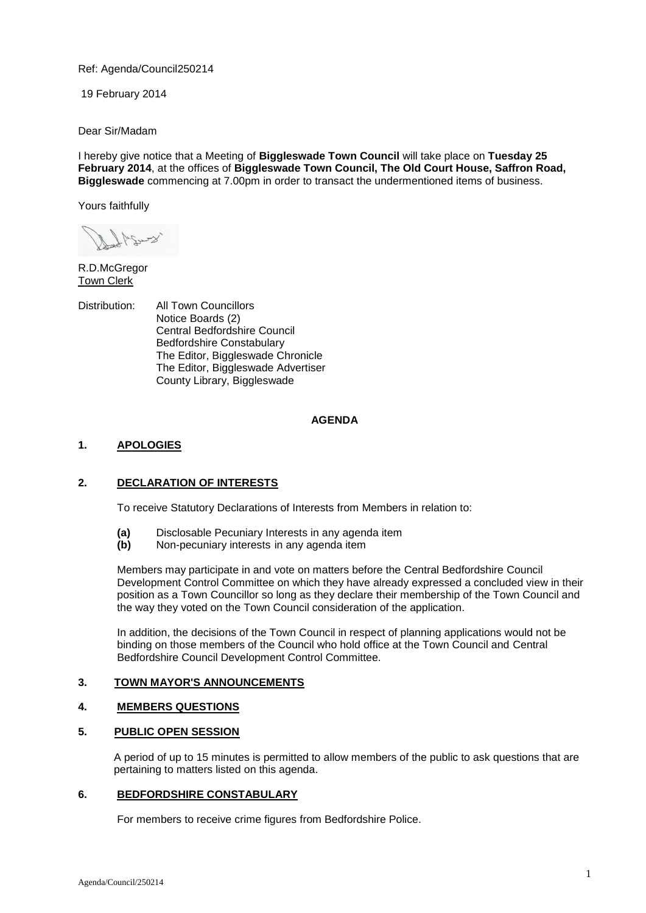Ref: Agenda/Council250214

19 February 2014

Dear Sir/Madam

I hereby give notice that a Meeting of **Biggleswade Town Council** will take place on **Tuesday 25 February 2014**, at the offices of **Biggleswade Town Council, The Old Court House, Saffron Road, Biggleswade** commencing at 7.00pm in order to transact the undermentioned items of business.

Yours faithfully

R.D.McGregor Town Clerk

Distribution: All Town Councillors Notice Boards (2) Central Bedfordshire Council Bedfordshire Constabulary The Editor, Biggleswade Chronicle The Editor, Biggleswade Advertiser County Library, Biggleswade

### **AGENDA**

# **1. APOLOGIES**

# **2. DECLARATION OF INTERESTS**

To receive Statutory Declarations of Interests from Members in relation to:

- **(a)** Disclosable Pecuniary Interests in any agenda item
- **(b)** Non-pecuniary interests in any agenda item

Members may participate in and vote on matters before the Central Bedfordshire Council Development Control Committee on which they have already expressed a concluded view in their position as a Town Councillor so long as they declare their membership of the Town Council and the way they voted on the Town Council consideration of the application.

In addition, the decisions of the Town Council in respect of planning applications would not be binding on those members of the Council who hold office at the Town Council and Central Bedfordshire Council Development Control Committee.

# **3. TOWN MAYOR'S ANNOUNCEMENTS**

# **4. MEMBERS QUESTIONS**

# **5. PUBLIC OPEN SESSION**

A period of up to 15 minutes is permitted to allow members of the public to ask questions that are pertaining to matters listed on this agenda.

# **6. BEDFORDSHIRE CONSTABULARY**

For members to receive crime figures from Bedfordshire Police.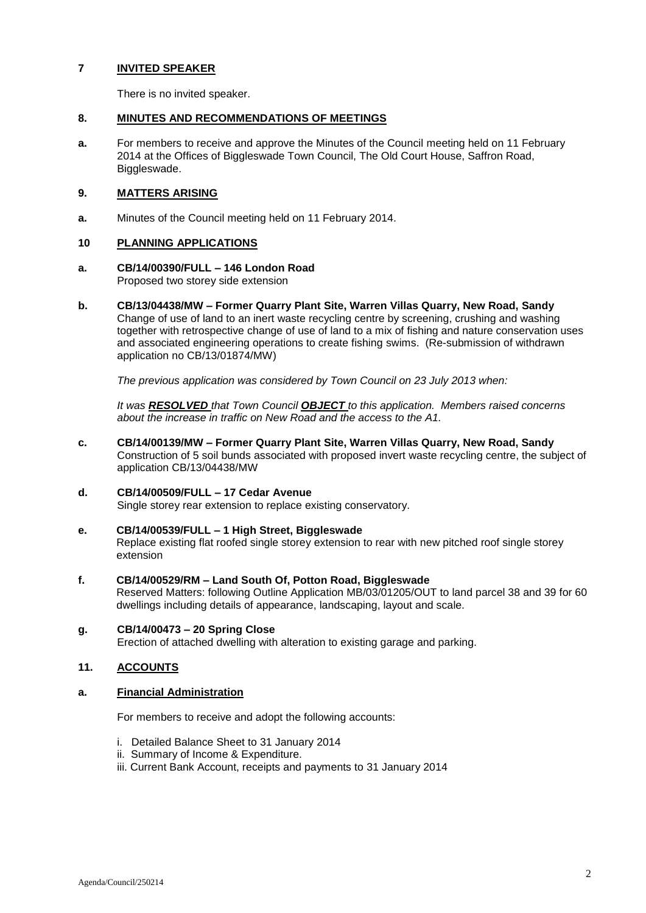# **7 INVITED SPEAKER**

There is no invited speaker.

### **8. MINUTES AND RECOMMENDATIONS OF MEETINGS**

**a.** For members to receive and approve the Minutes of the Council meeting held on 11 February 2014 at the Offices of Biggleswade Town Council, The Old Court House, Saffron Road, Biggleswade.

# **9. MATTERS ARISING**

**a.** Minutes of the Council meeting held on 11 February 2014.

# **10 PLANNING APPLICATIONS**

# **a. CB/14/00390/FULL – 146 London Road**

Proposed two storey side extension

**b. CB/13/04438/MW – Former Quarry Plant Site, Warren Villas Quarry, New Road, Sandy** Change of use of land to an inert waste recycling centre by screening, crushing and washing together with retrospective change of use of land to a mix of fishing and nature conservation uses and associated engineering operations to create fishing swims. (Re-submission of withdrawn application no CB/13/01874/MW)

*The previous application was considered by Town Council on 23 July 2013 when:*

*It was RESOLVED that Town Council OBJECT to this application. Members raised concerns about the increase in traffic on New Road and the access to the A1.*

**c. CB/14/00139/MW – Former Quarry Plant Site, Warren Villas Quarry, New Road, Sandy** Construction of 5 soil bunds associated with proposed invert waste recycling centre, the subject of application CB/13/04438/MW

# **d. CB/14/00509/FULL – 17 Cedar Avenue**

Single storey rear extension to replace existing conservatory.

### **e. CB/14/00539/FULL – 1 High Street, Biggleswade**

Replace existing flat roofed single storey extension to rear with new pitched roof single storey extension

# **f. CB/14/00529/RM – Land South Of, Potton Road, Biggleswade**

Reserved Matters: following Outline Application MB/03/01205/OUT to land parcel 38 and 39 for 60 dwellings including details of appearance, landscaping, layout and scale.

#### **g. CB/14/00473 – 20 Spring Close**

Erection of attached dwelling with alteration to existing garage and parking.

# **11. ACCOUNTS**

#### **a. Financial Administration**

For members to receive and adopt the following accounts:

- i. Detailed Balance Sheet to 31 January 2014
- ii. Summary of Income & Expenditure.
- iii. Current Bank Account, receipts and payments to 31 January 2014